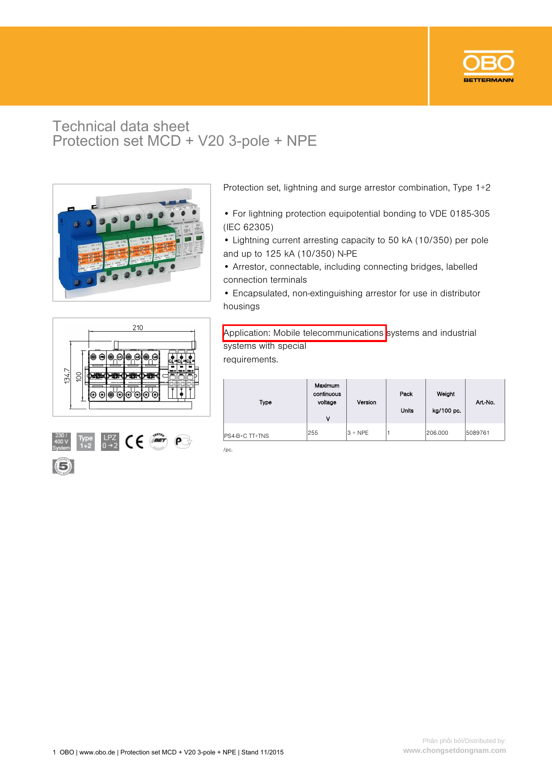

## Technical data sheet Protection set MCD + V20 3-pole + NPE



Protection set, lightning and surge arrestor combination, Type 1+2

- For lightning protection equipotential bonding to VDE 0185-305 (IEC 62305)
- Lightning current arresting capacity to 50 kA (10/350) per pole and up to 125 kA (10/350) N-PE
- Arrestor, connectable, including connecting bridges, labelled connection terminals
- Encapsulated, non-extinguishing arrestor for use in distributor housings





Application: Mobile telecommunications systems and industrial systems with special requirements.

| Type           | Maximum<br>continuous<br>voltage<br>٧ | Version   | Pack<br><b>Units</b> | Weight<br>kg/100 pc. | Art-No. |
|----------------|---------------------------------------|-----------|----------------------|----------------------|---------|
| PS4-B+C TT+TNS | 255                                   | $3 + NPE$ |                      | 206,000              | 5089761 |
| /pc.           |                                       |           |                      |                      |         |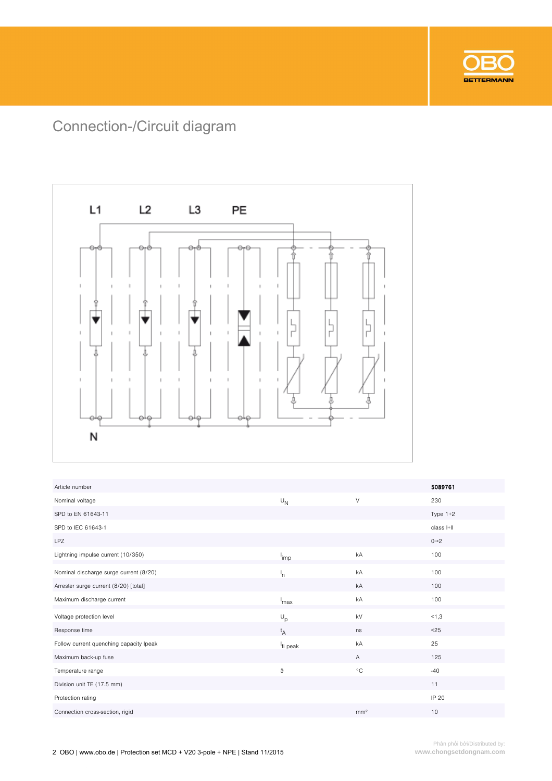

## Connection-/Circuit diagram



| Article number                          |                      |                   | 5089761           |
|-----------------------------------------|----------------------|-------------------|-------------------|
| Nominal voltage                         | $U_{N}$              | $\vee$            | 230               |
| SPD to EN 61643-11                      |                      |                   | Type $1+2$        |
| SPD to IEC 61643-1                      |                      |                   | class I+II        |
| <b>LPZ</b>                              |                      |                   | $0 \rightarrow 2$ |
| Lightning impulse current (10/350)      | <sup>l</sup> imp     | kA                | 100               |
| Nominal discharge surge current (8/20)  | 'n                   | kA                | 100               |
| Arrester surge current (8/20) [total]   |                      | kA                | 100               |
| Maximum discharge current               | max                  | kA                | 100               |
| Voltage protection level                | $\cup_p$             | kV                | 1,3               |
| Response time                           | t <sub>A</sub>       | ns                | $25$              |
| Follow current quenching capacity Ipeak | <sup>I</sup> fi peak | kA                | 25                |
| Maximum back-up fuse                    |                      | $\overline{A}$    | 125               |
| Temperature range                       | ზ                    | $^{\circ}{\rm C}$ | $-40$             |
| Division unit TE (17.5 mm)              |                      |                   | 11                |
| Protection rating                       |                      |                   | IP 20             |
| Connection cross-section, rigid         |                      | mm <sup>2</sup>   | 10                |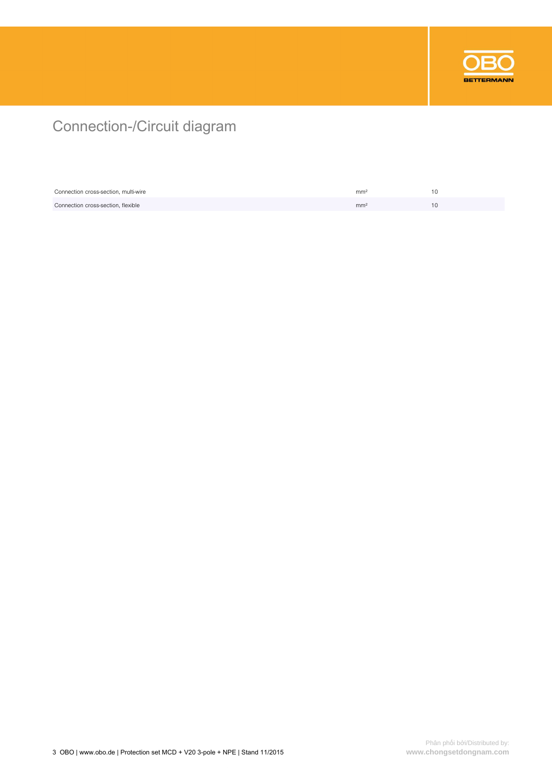

## Connection-/Circuit diagram

| Connection cross-section, multi-wire | mm <sup>2</sup> |  |
|--------------------------------------|-----------------|--|
| Connection cross-section, flexible   | mm <sup>2</sup> |  |